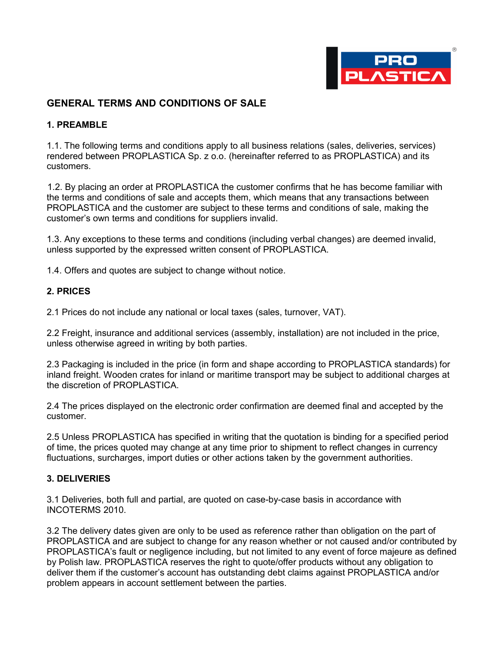

# **GENERAL TERMS AND CONDITIONS OF SALE**

### **1. PREAMBLE**

1.1. The following terms and conditions apply to all business relations (sales, deliveries, services) rendered between PROPLASTICA Sp. z o.o. (hereinafter referred to as PROPLASTICA) and its customers.

1.2. By placing an order at PROPLASTICA the customer confirms that he has become familiar with the terms and conditions of sale and accepts them, which means that any transactions between PROPLASTICA and the customer are subject to these terms and conditions of sale, making the customer's own terms and conditions for suppliers invalid.

1.3. Any exceptions to these terms and conditions (including verbal changes) are deemed invalid, unless supported by the expressed written consent of PROPLASTICA.

1.4. Offers and quotes are subject to change without notice.

#### **2. PRICES**

2.1 Prices do not include any national or local taxes (sales, turnover, VAT).

2.2 Freight, insurance and additional services (assembly, installation) are not included in the price, unless otherwise agreed in writing by both parties.

2.3 Packaging is included in the price (in form and shape according to PROPLASTICA standards) for inland freight. Wooden crates for inland or maritime transport may be subject to additional charges at the discretion of PROPLASTICA.

2.4 The prices displayed on the electronic order confirmation are deemed final and accepted by the customer.

2.5 Unless PROPLASTICA has specified in writing that the quotation is binding for a specified period of time, the prices quoted may change at any time prior to shipment to reflect changes in currency fluctuations, surcharges, import duties or other actions taken by the government authorities.

#### **3. DELIVERIES**

3.1 Deliveries, both full and partial, are quoted on case-by-case basis in accordance with INCOTERMS 2010.

3.2 The delivery dates given are only to be used as reference rather than obligation on the part of PROPLASTICA and are subject to change for any reason whether or not caused and/or contributed by PROPLASTICA's fault or negligence including, but not limited to any event of force majeure as defined by Polish law. PROPLASTICA reserves the right to quote/offer products without any obligation to deliver them if the customer's account has outstanding debt claims against PROPLASTICA and/or problem appears in account settlement between the parties.